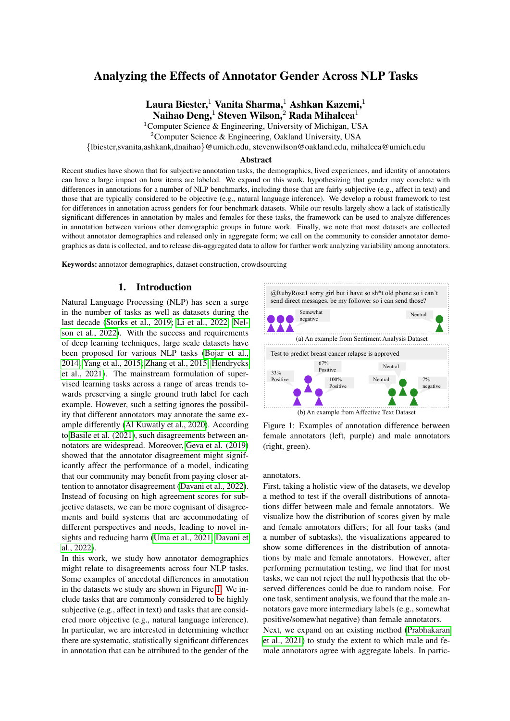# Analyzing the Effects of Annotator Gender Across NLP Tasks

Laura Biester,<sup>1</sup> Vanita Sharma,<sup>1</sup> Ashkan Kazemi,<sup>1</sup> Naihao Deng, Steven Wilson,  $2$  Rada Mihalcea<sup>1</sup>

<sup>1</sup>Computer Science & Engineering, University of Michigan, USA

<sup>2</sup>Computer Science & Engineering, Oakland University, USA

{lbiester,svanita,ashkank,dnaihao}@umich.edu, stevenwilson@oakland.edu, mihalcea@umich.edu

#### Abstract

Recent studies have shown that for subjective annotation tasks, the demographics, lived experiences, and identity of annotators can have a large impact on how items are labeled. We expand on this work, hypothesizing that gender may correlate with differences in annotations for a number of NLP benchmarks, including those that are fairly subjective (e.g., affect in text) and those that are typically considered to be objective (e.g., natural language inference). We develop a robust framework to test for differences in annotation across genders for four benchmark datasets. While our results largely show a lack of statistically significant differences in annotation by males and females for these tasks, the framework can be used to analyze differences in annotation between various other demographic groups in future work. Finally, we note that most datasets are collected without annotator demographics and released only in aggregate form; we call on the community to consider annotator demographics as data is collected, and to release dis-aggregated data to allow for further work analyzing variability among annotators.

Keywords: annotator demographics, dataset construction, crowdsourcing

### 1. Introduction

Natural Language Processing (NLP) has seen a surge in the number of tasks as well as datasets during the last decade [\(Storks et al., 2019;](#page-9-0) [Li et al., 2022;](#page-8-0) [Nel](#page-8-1)[son et al., 2022\)](#page-8-1). With the success and requirements of deep learning techniques, large scale datasets have been proposed for various NLP tasks [\(Bojar et al.,](#page-7-0) [2014;](#page-7-0) [Yang et al., 2015;](#page-9-1) [Zhang et al., 2015;](#page-9-2) [Hendrycks](#page-8-2) [et al., 2021\)](#page-8-2). The mainstream formulation of supervised learning tasks across a range of areas trends towards preserving a single ground truth label for each example. However, such a setting ignores the possibility that different annotators may annotate the same example differently [\(Al Kuwatly et al., 2020\)](#page-7-1). According to [Basile et al. \(2021\)](#page-7-2), such disagreements between annotators are widespread. Moreover, [Geva et al. \(2019\)](#page-8-3) showed that the annotator disagreement might significantly affect the performance of a model, indicating that our community may benefit from paying closer attention to annotator disagreement [\(Davani et al., 2022\)](#page-7-3). Instead of focusing on high agreement scores for subjective datasets, we can be more cognisant of disagreements and build systems that are accommodating of different perspectives and needs, leading to novel insights and reducing harm [\(Uma et al., 2021;](#page-9-3) [Davani et](#page-7-3) [al., 2022\)](#page-7-3).

In this work, we study how annotator demographics might relate to disagreements across four NLP tasks. Some examples of anecdotal differences in annotation in the datasets we study are shown in Figure [1.](#page-0-0) We include tasks that are commonly considered to be highly subjective (e.g., affect in text) and tasks that are considered more objective (e.g., natural language inference). In particular, we are interested in determining whether there are systematic, statistically significant differences in annotation that can be attributed to the gender of the



<span id="page-0-0"></span>Figure 1: Examples of annotation difference between female annotators (left, purple) and male annotators (right, green).

annotators.

First, taking a holistic view of the datasets, we develop a method to test if the overall distributions of annotations differ between male and female annotators. We visualize how the distribution of scores given by male and female annotators differs; for all four tasks (and a number of subtasks), the visualizations appeared to show some differences in the distribution of annotations by male and female annotators. However, after performing permutation testing, we find that for most tasks, we can not reject the null hypothesis that the observed differences could be due to random noise. For one task, sentiment analysis, we found that the male annotators gave more intermediary labels (e.g., somewhat positive/somewhat negative) than female annotators.

Next, we expand on an existing method [\(Prabhakaran](#page-8-4) [et al., 2021\)](#page-8-4) to study the extent to which male and female annotators agree with aggregate labels. In partic-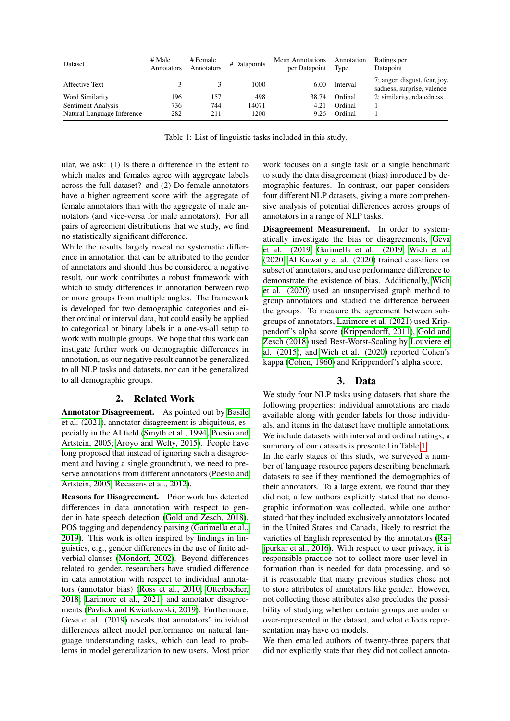| Dataset                    | # Male<br>Annotators | # Female<br>Annotators | # Datapoints | Mean Annotations<br>per Datapoint | Annotation<br>Type | Ratings per<br>Datapoint                                    |
|----------------------------|----------------------|------------------------|--------------|-----------------------------------|--------------------|-------------------------------------------------------------|
| Affective Text             |                      |                        | 1000         | 6.00                              | Interval           | 7; anger, disgust, fear, joy,<br>sadness, surprise, valence |
| Word Similarity            | 196                  | 157                    | 498          | 38.74                             | Ordinal            | 2; similarity, relatedness                                  |
| Sentiment Analysis         | 736                  | 744                    | 14071        | 4.21                              | Ordinal            |                                                             |
| Natural Language Inference | 282                  | 211                    | 1200         | 9.26                              | Ordinal            |                                                             |

Table 1: List of linguistic tasks included in this study.

<span id="page-1-0"></span>ular, we ask: (1) Is there a difference in the extent to which males and females agree with aggregate labels across the full dataset? and (2) Do female annotators have a higher agreement score with the aggregate of female annotators than with the aggregate of male annotators (and vice-versa for male annotators). For all pairs of agreement distributions that we study, we find no statistically significant difference.

While the results largely reveal no systematic difference in annotation that can be attributed to the gender of annotators and should thus be considered a negative result, our work contributes a robust framework with which to study differences in annotation between two or more groups from multiple angles. The framework is developed for two demographic categories and either ordinal or interval data, but could easily be applied to categorical or binary labels in a one-vs-all setup to work with multiple groups. We hope that this work can instigate further work on demographic differences in annotation, as our negative result cannot be generalized to all NLP tasks and datasets, nor can it be generalized to all demographic groups.

## 2. Related Work

Annotator Disagreement. As pointed out by [Basile](#page-7-2) [et al. \(2021\)](#page-7-2), annotator disagreement is ubiquitous, especially in the AI field [\(Smyth et al., 1994;](#page-9-4) [Poesio and](#page-8-5) [Artstein, 2005;](#page-8-5) [Aroyo and Welty, 2015\)](#page-7-4). People have long proposed that instead of ignoring such a disagreement and having a single groundtruth, we need to preserve annotations from different annotators [\(Poesio and](#page-8-5) [Artstein, 2005;](#page-8-5) [Recasens et al., 2012\)](#page-9-5).

Reasons for Disagreement. Prior work has detected differences in data annotation with respect to gender in hate speech detection [\(Gold and Zesch, 2018\)](#page-8-6), POS tagging and dependency parsing [\(Garimella et al.,](#page-8-7) [2019\)](#page-8-7). This work is often inspired by findings in linguistics, e.g., gender differences in the use of finite adverbial clauses [\(Mondorf, 2002\)](#page-8-8). Beyond differences related to gender, researchers have studied difference in data annotation with respect to individual annotators (annotator bias) [\(Ross et al., 2010;](#page-9-6) [Otterbacher,](#page-8-9) [2018;](#page-8-9) [Larimore et al., 2021\)](#page-8-10) and annotator disagreements [\(Pavlick and Kwiatkowski, 2019\)](#page-8-11). Furthermore, [Geva et al. \(2019\)](#page-8-3) reveals that annotators' individual differences affect model performance on natural language understanding tasks, which can lead to problems in model generalization to new users. Most prior

work focuses on a single task or a single benchmark to study the data disagreement (bias) introduced by demographic features. In contrast, our paper considers four different NLP datasets, giving a more comprehensive analysis of potential differences across groups of annotators in a range of NLP tasks.

Disagreement Measurement. In order to systematically investigate the bias or disagreements, [Geva](#page-8-3) [et al. \(2019;](#page-8-3) [Garimella et al. \(2019;](#page-8-7) [Wich et al.](#page-9-7) [\(2020;](#page-9-7) [Al Kuwatly et al. \(2020\)](#page-7-1) trained classifiers on subset of annotators, and use performance difference to demonstrate the existence of bias. Additionally, [Wich](#page-9-7) [et al. \(2020\)](#page-9-7) used an unsupervised graph method to group annotators and studied the difference between the groups. To measure the agreement between subgroups of annotators, [Larimore et al. \(2021\)](#page-8-10) used Krippendorf's alpha score [\(Krippendorff, 2011\)](#page-8-12), [Gold and](#page-8-6) [Zesch \(2018\)](#page-8-6) used Best-Worst-Scaling by [Louviere et](#page-8-13) [al. \(2015\)](#page-8-13), and [Wich et al. \(2020\)](#page-9-7) reported Cohen's kappa [\(Cohen, 1960\)](#page-7-5) and Krippendorf's alpha score.

## 3. Data

We study four NLP tasks using datasets that share the following properties: individual annotations are made available along with gender labels for those individuals, and items in the dataset have multiple annotations. We include datasets with interval and ordinal ratings; a summary of our datasets is presented in Table [1.](#page-1-0)

In the early stages of this study, we surveyed a number of language resource papers describing benchmark datasets to see if they mentioned the demographics of their annotators. To a large extent, we found that they did not; a few authors explicitly stated that no demographic information was collected, while one author stated that they included exclusively annotators located in the United States and Canada, likely to restrict the varieties of English represented by the annotators [\(Ra](#page-9-8)[jpurkar et al., 2016\)](#page-9-8). With respect to user privacy, it is responsible practice not to collect more user-level information than is needed for data processing, and so it is reasonable that many previous studies chose not to store attributes of annotators like gender. However, not collecting these attributes also precludes the possibility of studying whether certain groups are under or over-represented in the dataset, and what effects representation may have on models.

We then emailed authors of twenty-three papers that did not explicitly state that they did not collect annota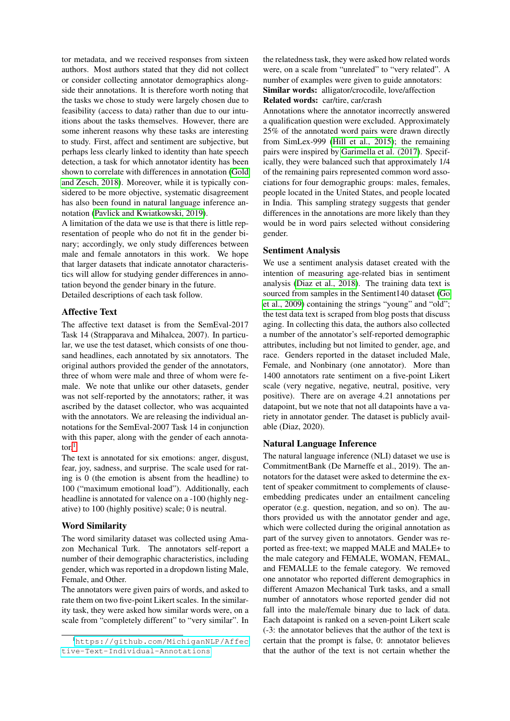tor metadata, and we received responses from sixteen authors. Most authors stated that they did not collect or consider collecting annotator demographics alongside their annotations. It is therefore worth noting that the tasks we chose to study were largely chosen due to feasibility (access to data) rather than due to our intuitions about the tasks themselves. However, there are some inherent reasons why these tasks are interesting to study. First, affect and sentiment are subjective, but perhaps less clearly linked to identity than hate speech detection, a task for which annotator identity has been shown to correlate with differences in annotation [\(Gold](#page-8-6) [and Zesch, 2018\)](#page-8-6). Moreover, while it is typically considered to be more objective, systematic disagreement has also been found in natural language inference annotation [\(Pavlick and Kwiatkowski, 2019\)](#page-8-11).

A limitation of the data we use is that there is little representation of people who do not fit in the gender binary; accordingly, we only study differences between male and female annotators in this work. We hope that larger datasets that indicate annotator characteristics will allow for studying gender differences in annotation beyond the gender binary in the future. Detailed descriptions of each task follow.

### Affective Text

The affective text dataset is from the SemEval-2017 Task 14 (Strapparava and Mihalcea, 2007). In particular, we use the test dataset, which consists of one thousand headlines, each annotated by six annotators. The original authors provided the gender of the annotators, three of whom were male and three of whom were female. We note that unlike our other datasets, gender was not self-reported by the annotators; rather, it was ascribed by the dataset collector, who was acquainted with the annotators. We are releasing the individual annotations for the SemEval-2007 Task 14 in conjunction with this paper, along with the gender of each annotator $^1$  $^1$ 

The text is annotated for six emotions: anger, disgust, fear, joy, sadness, and surprise. The scale used for rating is 0 (the emotion is absent from the headline) to 100 ("maximum emotional load"). Additionally, each headline is annotated for valence on a -100 (highly negative) to 100 (highly positive) scale; 0 is neutral.

#### Word Similarity

The word similarity dataset was collected using Amazon Mechanical Turk. The annotators self-report a number of their demographic characteristics, including gender, which was reported in a dropdown listing Male, Female, and Other.

The annotators were given pairs of words, and asked to rate them on two five-point Likert scales. In the similarity task, they were asked how similar words were, on a scale from "completely different" to "very similar". In the relatedness task, they were asked how related words were, on a scale from "unrelated" to "very related". A number of examples were given to guide annotators: Similar words: alligator/crocodile, love/affection Related words: car/tire, car/crash

Annotations where the annotator incorrectly answered a qualification question were excluded. Approximately 25% of the annotated word pairs were drawn directly from SimLex-999 [\(Hill et al., 2015\)](#page-8-14); the remaining pairs were inspired by [Garimella et al. \(2017\)](#page-8-15). Specifically, they were balanced such that approximately 1/4 of the remaining pairs represented common word associations for four demographic groups: males, females, people located in the United States, and people located in India. This sampling strategy suggests that gender differences in the annotations are more likely than they would be in word pairs selected without considering gender.

#### Sentiment Analysis

We use a sentiment analysis dataset created with the intention of measuring age-related bias in sentiment analysis [\(Diaz et al., 2018\)](#page-8-16). The training data text is sourced from samples in the Sentiment140 dataset [\(Go](#page-8-17) [et al., 2009\)](#page-8-17) containing the strings "young" and "old"; the test data text is scraped from blog posts that discuss aging. In collecting this data, the authors also collected a number of the annotator's self-reported demographic attributes, including but not limited to gender, age, and race. Genders reported in the dataset included Male, Female, and Nonbinary (one annotator). More than 1400 annotators rate sentiment on a five-point Likert scale (very negative, negative, neutral, positive, very positive). There are on average 4.21 annotations per datapoint, but we note that not all datapoints have a variety in annotator gender. The dataset is publicly available (Diaz, 2020).

## Natural Language Inference

The natural language inference (NLI) dataset we use is CommitmentBank (De Marneffe et al., 2019). The annotators for the dataset were asked to determine the extent of speaker commitment to complements of clauseembedding predicates under an entailment canceling operator (e.g. question, negation, and so on). The authors provided us with the annotator gender and age, which were collected during the original annotation as part of the survey given to annotators. Gender was reported as free-text; we mapped MALE and MALE+ to the male category and FEMALE, WOMAN, FEMAL, and FEMALLE to the female category. We removed one annotator who reported different demographics in different Amazon Mechanical Turk tasks, and a small number of annotators whose reported gender did not fall into the male/female binary due to lack of data. Each datapoint is ranked on a seven-point Likert scale (-3: the annotator believes that the author of the text is certain that the prompt is false, 0: annotator believes that the author of the text is not certain whether the

<span id="page-2-0"></span><sup>1</sup>[https://github.com/MichiganNLP/Affec](https://github.com/MichiganNLP/Affective-Text-Individual-Annotations) [tive-Text-Individual-Annotations](https://github.com/MichiganNLP/Affective-Text-Individual-Annotations)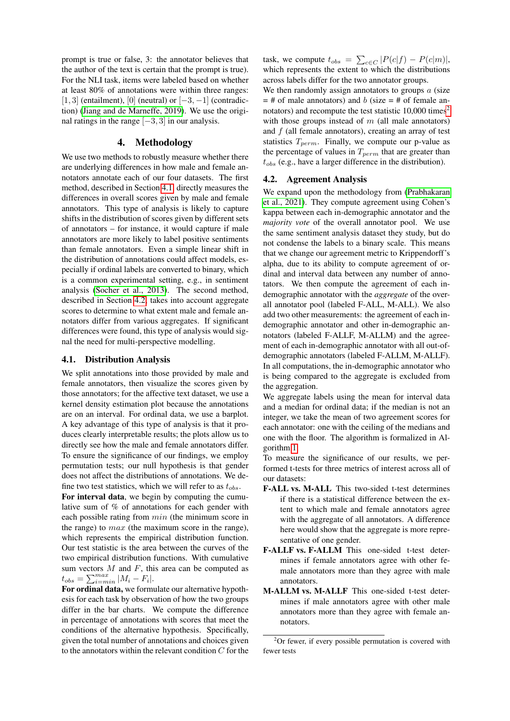prompt is true or false, 3: the annotator believes that the author of the text is certain that the prompt is true). For the NLI task, items were labeled based on whether at least 80% of annotations were within three ranges: [1, 3] (entailment), [0] (neutral) or  $[-3, -1]$  (contradiction) [\(Jiang and de Marneffe, 2019\)](#page-8-18). We use the original ratings in the range  $[-3, 3]$  in our analysis.

## 4. Methodology

We use two methods to robustly measure whether there are underlying differences in how male and female annotators annotate each of our four datasets. The first method, described in Section [4.1,](#page-3-0) directly measures the differences in overall scores given by male and female annotators. This type of analysis is likely to capture shifts in the distribution of scores given by different sets of annotators – for instance, it would capture if male annotators are more likely to label positive sentiments than female annotators. Even a simple linear shift in the distribution of annotations could affect models, especially if ordinal labels are converted to binary, which is a common experimental setting, e.g., in sentiment analysis [\(Socher et al., 2013\)](#page-9-9). The second method, described in Section [4.2,](#page-3-1) takes into account aggregate scores to determine to what extent male and female annotators differ from various aggregates. If significant differences were found, this type of analysis would signal the need for multi-perspective modelling.

### <span id="page-3-0"></span>4.1. Distribution Analysis

We split annotations into those provided by male and female annotators, then visualize the scores given by those annotators; for the affective text dataset, we use a kernel density estimation plot because the annotations are on an interval. For ordinal data, we use a barplot. A key advantage of this type of analysis is that it produces clearly interpretable results; the plots allow us to directly see how the male and female annotators differ. To ensure the significance of our findings, we employ permutation tests; our null hypothesis is that gender does not affect the distributions of annotations. We define two test statistics, which we will refer to as  $t_{obs}$ .

For interval data, we begin by computing the cumulative sum of % of annotations for each gender with each possible rating from  $min$  (the minimum score in the range) to  $max$  (the maximum score in the range), which represents the empirical distribution function. Our test statistic is the area between the curves of the two empirical distribution functions. With cumulative sum vectors  $M$  and  $F$ , this area can be computed as  $t_{obs} = \sum_{i=min}^{max} |M_i - F_i|.$ 

For ordinal data, we formulate our alternative hypothesis for each task by observation of how the two groups differ in the bar charts. We compute the difference in percentage of annotations with scores that meet the conditions of the alternative hypothesis. Specifically, given the total number of annotations and choices given to the annotators within the relevant condition  $C$  for the

task, we compute  $t_{obs} = \sum_{c \in C} |P(c|f) - P(c|m)|$ , which represents the extent to which the distributions across labels differ for the two annotator groups.

We then randomly assign annotators to groups  $\alpha$  (size  $=$  # of male annotators) and b (size  $=$  # of female annotators) and recompute the test statistic  $10,000$  times<sup>[2](#page-3-2)</sup> with those groups instead of  $m$  (all male annotators) and  $f$  (all female annotators), creating an array of test statistics  $T_{perm}$ . Finally, we compute our p-value as the percentage of values in  $T_{perm}$  that are greater than  $t_{obs}$  (e.g., have a larger difference in the distribution).

#### <span id="page-3-1"></span>4.2. Agreement Analysis

We expand upon the methodology from [\(Prabhakaran](#page-8-4) [et al., 2021\)](#page-8-4). They compute agreement using Cohen's kappa between each in-demographic annotator and the *majority vote* of the overall annotator pool. We use the same sentiment analysis dataset they study, but do not condense the labels to a binary scale. This means that we change our agreement metric to Krippendorff's alpha, due to its ability to compute agreement of ordinal and interval data between any number of annotators. We then compute the agreement of each indemographic annotator with the *aggregate* of the overall annotator pool (labeled F-ALL, M-ALL). We also add two other measurements: the agreement of each indemographic annotator and other in-demographic annotators (labeled F-ALLF, M-ALLM) and the agreement of each in-demographic annotator with all out-ofdemographic annotators (labeled F-ALLM, M-ALLF). In all computations, the in-demographic annotator who is being compared to the aggregate is excluded from the aggregation.

We aggregate labels using the mean for interval data and a median for ordinal data; if the median is not an integer, we take the mean of two agreement scores for each annotator: one with the ceiling of the medians and one with the floor. The algorithm is formalized in Algorithm [1.](#page-4-0)

To measure the significance of our results, we performed t-tests for three metrics of interest across all of our datasets:

- F-ALL vs. M-ALL This two-sided t-test determines if there is a statistical difference between the extent to which male and female annotators agree with the aggregate of all annotators. A difference here would show that the aggregate is more representative of one gender.
- F-ALLF vs. F-ALLM This one-sided t-test determines if female annotators agree with other female annotators more than they agree with male annotators.
- M-ALLM vs. M-ALLF This one-sided t-test determines if male annotators agree with other male annotators more than they agree with female annotators.

<span id="page-3-2"></span> ${}^{2}$ Or fewer, if every possible permutation is covered with fewer tests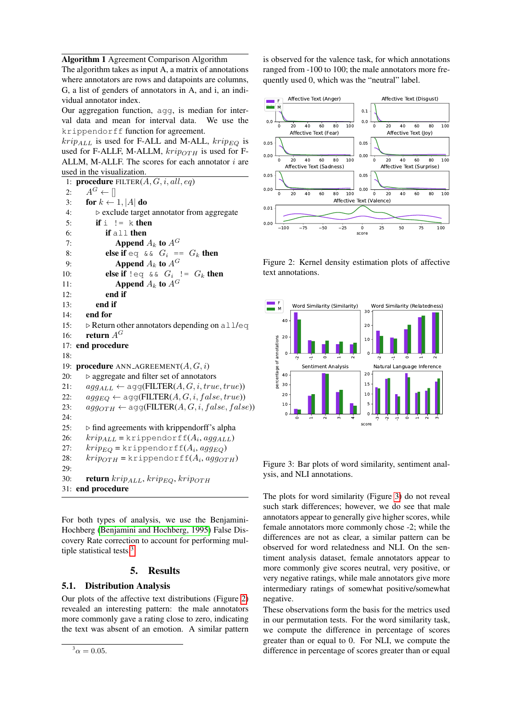Algorithm 1 Agreement Comparison Algorithm

The algorithm takes as input A, a matrix of annotations where annotators are rows and datapoints are columns, G, a list of genders of annotators in A, and i, an individual annotator index.

Our aggregation function, agg, is median for interval data and mean for interval data. We use the krippendorff function for agreement.

 $krip<sub>ALL</sub>$  is used for F-ALL and M-ALL,  $krip<sub>EO</sub>$  is used for F-ALLF, M-ALLM,  $krip_{OTH}$  is used for F-ALLM, M-ALLF. The scores for each annotator  $i$  are used in the visualization.

```
1: procedure FILTER(A, G, i, all, eq)2: A^G \leftarrow \Box3: for k \leftarrow 1, |A| do
 4: . exclude target annotator from aggregate
 5: if i = k then
 6: if all then
 7: Append A_k to A^G8: else if eq \& \& G_i == G_k then
 9: Append A_k to A^G10: else if \text{leg } \& \& G_i \text{ } := G_k \text{ then}11: Append A_k to A^G12: end if
13: end if
14: end for
15: \triangleright Return other annotators depending on all/eq
16: return A^G17: end procedure
18:
19: procedure ANN_AGREEMENT(A, G, i)20: \triangleright aggregate and filter set of annotators
21: agg_{ALL} \leftarrow \text{agg}(\text{FILTER}(A, G, i, true, true))22: agg_{EQ} \leftarrow agg(\text{FILTER}(A, G, i, false, true))23: agg_{OTH} \leftarrow agg(FILTER(A, G, i, false, false))24:
25: \triangleright find agreements with krippendorff's alpha
26: krip_{ALL} =krippendorff(A_i,agg_{ALL})27: krip_{EQ} =krippendorff(A_i,agg_{EQ})28: krip_{OTH} =krippendorff(A_i, agg_{OTH})2930: return krip_{ALL}, krip_{EO}, krip_{OTH}31: end procedure
```
For both types of analysis, we use the Benjamini-Hochberg [\(Benjamini and Hochberg, 1995\)](#page-7-6) False Discovery Rate correction to account for performing mul-tiple statistical tests.<sup>[3](#page-4-1)</sup>

## 5. Results

## 5.1. Distribution Analysis

Our plots of the affective text distributions (Figure [2\)](#page-4-2) revealed an interesting pattern: the male annotators more commonly gave a rating close to zero, indicating the text was absent of an emotion. A similar pattern

<span id="page-4-1"></span> $^{3} \alpha = 0.05.$ 

is observed for the valence task, for which annotations ranged from -100 to 100; the male annotators more frequently used 0, which was the "neutral" label.



<span id="page-4-2"></span>Figure 2: Kernel density estimation plots of affective text annotations.



<span id="page-4-3"></span>Figure 3: Bar plots of word similarity, sentiment analysis, and NLI annotations.

The plots for word similarity (Figure [3\)](#page-4-3) do not reveal such stark differences; however, we do see that male annotators appear to generally give higher scores, while female annotators more commonly chose -2; while the differences are not as clear, a similar pattern can be observed for word relatedness and NLI. On the sentiment analysis dataset, female annotators appear to more commonly give scores neutral, very positive, or very negative ratings, while male annotators give more intermediary ratings of somewhat positive/somewhat negative.

These observations form the basis for the metrics used in our permutation tests. For the word similarity task, we compute the difference in percentage of scores greater than or equal to 0. For NLI, we compute the difference in percentage of scores greater than or equal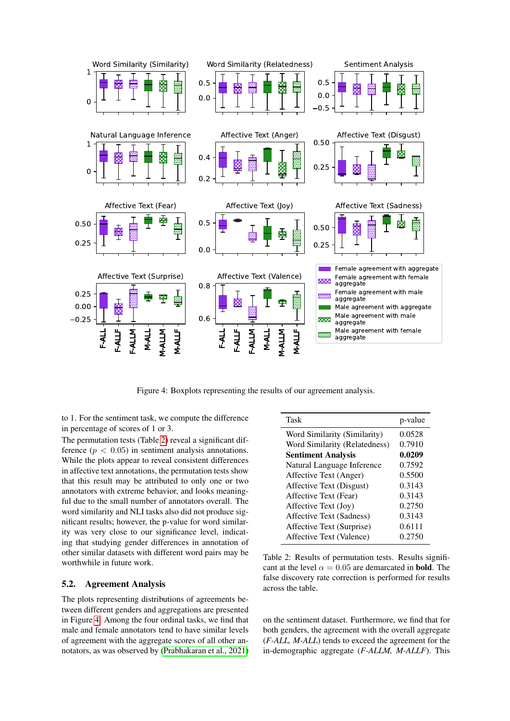

Figure 4: Boxplots representing the results of our agreement analysis.

to 1. For the sentiment task, we compute the difference in percentage of scores of 1 or 3.

The permutation tests (Table [2\)](#page-5-0) reveal a significant difference  $(p < 0.05)$  in sentiment analysis annotations. While the plots appear to reveal consistent differences in affective text annotations, the permutation tests show that this result may be attributed to only one or two annotators with extreme behavior, and looks meaningful due to the small number of annotators overall. The word similarity and NLI tasks also did not produce significant results; however, the p-value for word similarity was very close to our significance level, indicating that studying gender differences in annotation of other similar datasets with different word pairs may be worthwhile in future work.

## 5.2. Agreement Analysis

The plots representing distributions of agreements between different genders and aggregations are presented in Figure [4.](#page-5-1) Among the four ordinal tasks, we find that male and female annotators tend to have similar levels of agreement with the aggregate scores of all other annotators, as was observed by [\(Prabhakaran et al., 2021\)](#page-8-4)

<span id="page-5-1"></span><span id="page-5-0"></span>

| Task                          | p-value |
|-------------------------------|---------|
| Word Similarity (Similarity)  | 0.0528  |
| Word Similarity (Relatedness) | 0.7910  |
| <b>Sentiment Analysis</b>     | 0.0209  |
| Natural Language Inference    | 0.7592  |
| Affective Text (Anger)        | 0.5500  |
| Affective Text (Disgust)      | 0.3143  |
| Affective Text (Fear)         | 0.3143  |
| Affective Text (Joy)          | 0.2750  |
| Affective Text (Sadness)      | 0.3143  |
| Affective Text (Surprise)     | 0.6111  |
| Affective Text (Valence)      | 0.2750  |
|                               |         |

Table 2: Results of permutation tests. Results significant at the level  $\alpha = 0.05$  are demarcated in **bold**. The false discovery rate correction is performed for results across the table.

on the sentiment dataset. Furthermore, we find that for both genders, the agreement with the overall aggregate (*F-ALL, M-ALL*) tends to exceed the agreement for the in-demographic aggregate (*F-ALLM, M-ALLF*). This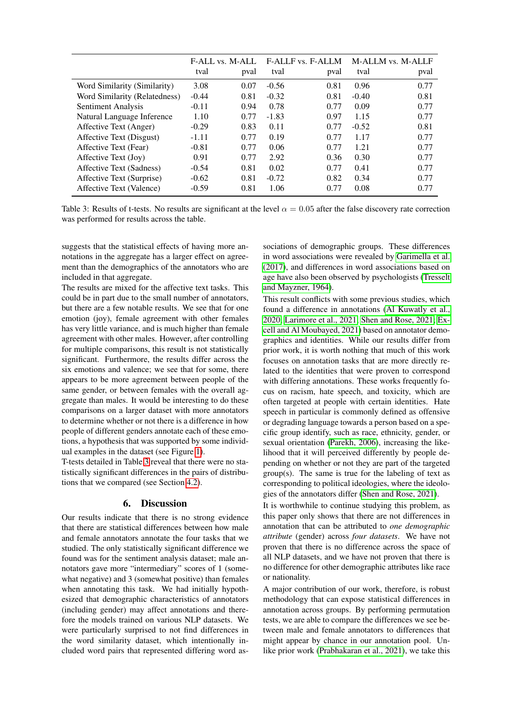|                               | <b>F-ALL vs. M-ALL</b> |      | <b>F-ALLF</b> vs. F-ALLM |      | M-ALLM vs. M-ALLF |      |
|-------------------------------|------------------------|------|--------------------------|------|-------------------|------|
|                               | tval                   | pval | tval                     | pval | tval              | pval |
| Word Similarity (Similarity)  | 3.08                   | 0.07 | $-0.56$                  | 0.81 | 0.96              | 0.77 |
| Word Similarity (Relatedness) | $-0.44$                | 0.81 | $-0.32$                  | 0.81 | $-0.40$           | 0.81 |
| Sentiment Analysis            | $-0.11$                | 0.94 | 0.78                     | 0.77 | 0.09              | 0.77 |
| Natural Language Inference    | 1.10                   | 0.77 | $-1.83$                  | 0.97 | 1.15              | 0.77 |
| Affective Text (Anger)        | $-0.29$                | 0.83 | 0.11                     | 0.77 | $-0.52$           | 0.81 |
| Affective Text (Disgust)      | $-1.11$                | 0.77 | 0.19                     | 0.77 | 1.17              | 0.77 |
| Affective Text (Fear)         | $-0.81$                | 0.77 | 0.06                     | 0.77 | 1.21              | 0.77 |
| Affective Text (Joy)          | 0.91                   | 0.77 | 2.92                     | 0.36 | 0.30              | 0.77 |
| Affective Text (Sadness)      | $-0.54$                | 0.81 | 0.02                     | 0.77 | 0.41              | 0.77 |
| Affective Text (Surprise)     | $-0.62$                | 0.81 | $-0.72$                  | 0.82 | 0.34              | 0.77 |
| Affective Text (Valence)      | $-0.59$                | 0.81 | 1.06                     | 0.77 | 0.08              | 0.77 |

Table 3: Results of t-tests. No results are significant at the level  $\alpha = 0.05$  after the false discovery rate correction was performed for results across the table.

suggests that the statistical effects of having more annotations in the aggregate has a larger effect on agreement than the demographics of the annotators who are included in that aggregate.

The results are mixed for the affective text tasks. This could be in part due to the small number of annotators, but there are a few notable results. We see that for one emotion (joy), female agreement with other females has very little variance, and is much higher than female agreement with other males. However, after controlling for multiple comparisons, this result is not statistically significant. Furthermore, the results differ across the six emotions and valence; we see that for some, there appears to be more agreement between people of the same gender, or between females with the overall aggregate than males. It would be interesting to do these comparisons on a larger dataset with more annotators to determine whether or not there is a difference in how people of different genders annotate each of these emotions, a hypothesis that was supported by some individual examples in the dataset (see Figure [1\)](#page-0-0).

T-tests detailed in Table [3](#page-6-0) reveal that there were no statistically significant differences in the pairs of distributions that we compared (see Section [4.2\)](#page-3-1).

## 6. Discussion

Our results indicate that there is no strong evidence that there are statistical differences between how male and female annotators annotate the four tasks that we studied. The only statistically significant difference we found was for the sentiment analysis dataset; male annotators gave more "intermediary" scores of 1 (somewhat negative) and 3 (somewhat positive) than females when annotating this task. We had initially hypothesized that demographic characteristics of annotators (including gender) may affect annotations and therefore the models trained on various NLP datasets. We were particularly surprised to not find differences in the word similarity dataset, which intentionally included word pairs that represented differing word as<span id="page-6-0"></span>sociations of demographic groups. These differences in word associations were revealed by [Garimella et al.](#page-8-15) [\(2017\)](#page-8-15), and differences in word associations based on age have also been observed by psychologists [\(Tresselt](#page-9-10) [and Mayzner, 1964\)](#page-9-10).

This result conflicts with some previous studies, which found a difference in annotations [\(Al Kuwatly et al.,](#page-7-1) [2020;](#page-7-1) [Larimore et al., 2021;](#page-8-10) [Shen and Rose, 2021;](#page-9-11) [Ex](#page-8-19)[cell and Al Moubayed, 2021\)](#page-8-19) based on annotator demographics and identities. While our results differ from prior work, it is worth nothing that much of this work focuses on annotation tasks that are more directly related to the identities that were proven to correspond with differing annotations. These works frequently focus on racism, hate speech, and toxicity, which are often targeted at people with certain identities. Hate speech in particular is commonly defined as offensive or degrading language towards a person based on a specific group identify, such as race, ethnicity, gender, or sexual orientation [\(Parekh, 2006\)](#page-8-20), increasing the likelihood that it will perceived differently by people depending on whether or not they are part of the targeted group(s). The same is true for the labeling of text as corresponding to political ideologies, where the ideologies of the annotators differ [\(Shen and Rose, 2021\)](#page-9-11).

It is worthwhile to continue studying this problem, as this paper only shows that there are not differences in annotation that can be attributed to *one demographic attribute* (gender) across *four datasets*. We have not proven that there is no difference across the space of all NLP datasets, and we have not proven that there is no difference for other demographic attributes like race or nationality.

A major contribution of our work, therefore, is robust methodology that can expose statistical differences in annotation across groups. By performing permutation tests, we are able to compare the differences we see between male and female annotators to differences that might appear by chance in our annotation pool. Unlike prior work [\(Prabhakaran et al., 2021\)](#page-8-4), we take this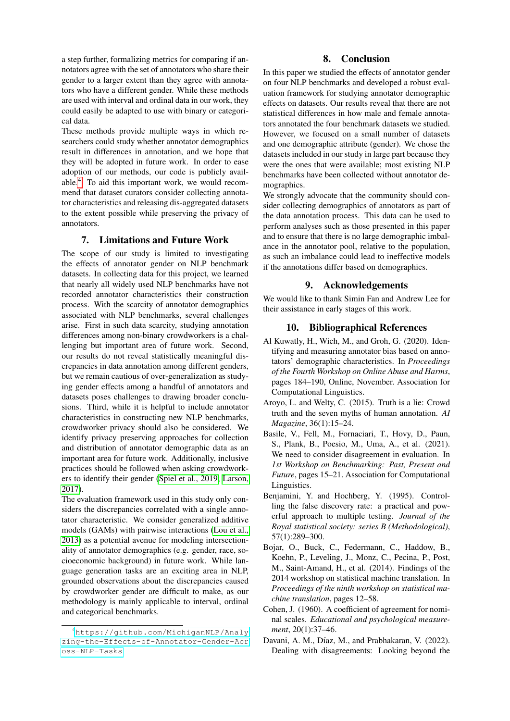a step further, formalizing metrics for comparing if annotators agree with the set of annotators who share their gender to a larger extent than they agree with annotators who have a different gender. While these methods are used with interval and ordinal data in our work, they could easily be adapted to use with binary or categorical data.

These methods provide multiple ways in which researchers could study whether annotator demographics result in differences in annotation, and we hope that they will be adopted in future work. In order to ease adoption of our methods, our code is publicly available.[4](#page-7-7) To aid this important work, we would recommend that dataset curators consider collecting annotator characteristics and releasing dis-aggregated datasets to the extent possible while preserving the privacy of annotators.

## 7. Limitations and Future Work

The scope of our study is limited to investigating the effects of annotator gender on NLP benchmark datasets. In collecting data for this project, we learned that nearly all widely used NLP benchmarks have not recorded annotator characteristics their construction process. With the scarcity of annotator demographics associated with NLP benchmarks, several challenges arise. First in such data scarcity, studying annotation differences among non-binary crowdworkers is a challenging but important area of future work. Second, our results do not reveal statistically meaningful discrepancies in data annotation among different genders, but we remain cautious of over-generalization as studying gender effects among a handful of annotators and datasets poses challenges to drawing broader conclusions. Third, while it is helpful to include annotator characteristics in constructing new NLP benchmarks, crowdworker privacy should also be considered. We identify privacy preserving approaches for collection and distribution of annotator demographic data as an important area for future work. Additionally, inclusive practices should be followed when asking crowdworkers to identify their gender [\(Spiel et al., 2019;](#page-9-12) [Larson,](#page-8-21) [2017\)](#page-8-21).

The evaluation framework used in this study only considers the discrepancies correlated with a single annotator characteristic. We consider generalized additive models (GAMs) with pairwise interactions [\(Lou et al.,](#page-8-22) [2013\)](#page-8-22) as a potential avenue for modeling intersectionality of annotator demographics (e.g. gender, race, socioeconomic background) in future work. While language generation tasks are an exciting area in NLP, grounded observations about the discrepancies caused by crowdworker gender are difficult to make, as our methodology is mainly applicable to interval, ordinal and categorical benchmarks.

#### 8. Conclusion

In this paper we studied the effects of annotator gender on four NLP benchmarks and developed a robust evaluation framework for studying annotator demographic effects on datasets. Our results reveal that there are not statistical differences in how male and female annotators annotated the four benchmark datasets we studied. However, we focused on a small number of datasets and one demographic attribute (gender). We chose the datasets included in our study in large part because they were the ones that were available; most existing NLP benchmarks have been collected without annotator demographics.

We strongly advocate that the community should consider collecting demographics of annotators as part of the data annotation process. This data can be used to perform analyses such as those presented in this paper and to ensure that there is no large demographic imbalance in the annotator pool, relative to the population, as such an imbalance could lead to ineffective models if the annotations differ based on demographics.

### 9. Acknowledgements

We would like to thank Simin Fan and Andrew Lee for their assistance in early stages of this work.

#### 10. Bibliographical References

- <span id="page-7-1"></span>Al Kuwatly, H., Wich, M., and Groh, G. (2020). Identifying and measuring annotator bias based on annotators' demographic characteristics. In *Proceedings of the Fourth Workshop on Online Abuse and Harms*, pages 184–190, Online, November. Association for Computational Linguistics.
- <span id="page-7-4"></span>Aroyo, L. and Welty, C. (2015). Truth is a lie: Crowd truth and the seven myths of human annotation. *AI Magazine*, 36(1):15–24.
- <span id="page-7-2"></span>Basile, V., Fell, M., Fornaciari, T., Hovy, D., Paun, S., Plank, B., Poesio, M., Uma, A., et al. (2021). We need to consider disagreement in evaluation. In *1st Workshop on Benchmarking: Past, Present and Future*, pages 15–21. Association for Computational Linguistics.
- <span id="page-7-6"></span>Benjamini, Y. and Hochberg, Y. (1995). Controlling the false discovery rate: a practical and powerful approach to multiple testing. *Journal of the Royal statistical society: series B (Methodological)*, 57(1):289–300.
- <span id="page-7-0"></span>Bojar, O., Buck, C., Federmann, C., Haddow, B., Koehn, P., Leveling, J., Monz, C., Pecina, P., Post, M., Saint-Amand, H., et al. (2014). Findings of the 2014 workshop on statistical machine translation. In *Proceedings of the ninth workshop on statistical machine translation*, pages 12–58.
- <span id="page-7-5"></span>Cohen, J. (1960). A coefficient of agreement for nominal scales. *Educational and psychological measurement*, 20(1):37–46.
- <span id="page-7-3"></span>Davani, A. M., Díaz, M., and Prabhakaran, V. (2022). Dealing with disagreements: Looking beyond the

<span id="page-7-7"></span><sup>4</sup>[https://github.com/MichiganNLP/Analy](https://github.com/MichiganNLP/Analyzing-the-Effects-of-Annotator-Gender-Across-NLP-Tasks) [zing-the-Effects-of-Annotator-Gender-Acr](https://github.com/MichiganNLP/Analyzing-the-Effects-of-Annotator-Gender-Across-NLP-Tasks) [oss-NLP-Tasks](https://github.com/MichiganNLP/Analyzing-the-Effects-of-Annotator-Gender-Across-NLP-Tasks)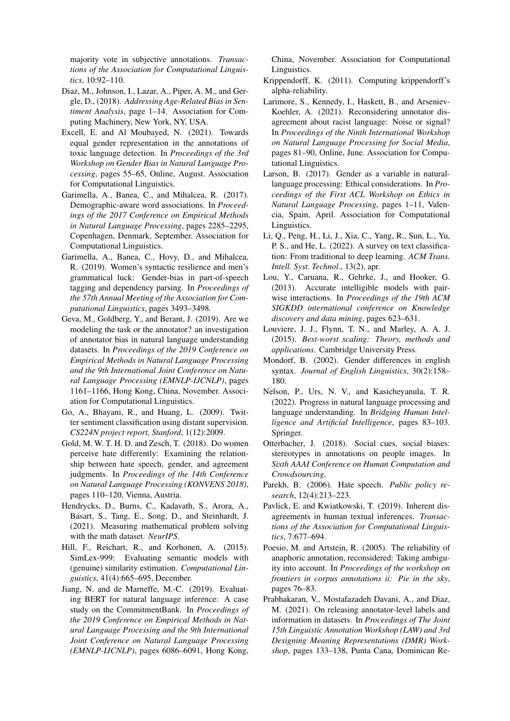majority vote in subjective annotations. *Transactions of the Association for Computational Linguistics*, 10:92–110.

- <span id="page-8-16"></span>Diaz, M., Johnson, I., Lazar, A., Piper, A. M., and Gergle, D., (2018). *Addressing Age-Related Bias in Sentiment Analysis*, page 1–14. Association for Computing Machinery, New York, NY, USA.
- <span id="page-8-19"></span>Excell, E. and Al Moubayed, N. (2021). Towards equal gender representation in the annotations of toxic language detection. In *Proceedings of the 3rd Workshop on Gender Bias in Natural Language Processing*, pages 55–65, Online, August. Association for Computational Linguistics.
- <span id="page-8-15"></span>Garimella, A., Banea, C., and Mihalcea, R. (2017). Demographic-aware word associations. In *Proceedings of the 2017 Conference on Empirical Methods in Natural Language Processing*, pages 2285–2295, Copenhagen, Denmark, September. Association for Computational Linguistics.
- <span id="page-8-7"></span>Garimella, A., Banea, C., Hovy, D., and Mihalcea, R. (2019). Women's syntactic resilience and men's grammatical luck: Gender-bias in part-of-speech tagging and dependency parsing. In *Proceedings of the 57th Annual Meeting of the Association for Computational Linguistics*, pages 3493–3498.
- <span id="page-8-3"></span>Geva, M., Goldberg, Y., and Berant, J. (2019). Are we modeling the task or the annotator? an investigation of annotator bias in natural language understanding datasets. In *Proceedings of the 2019 Conference on Empirical Methods in Natural Language Processing and the 9th International Joint Conference on Natural Language Processing (EMNLP-IJCNLP)*, pages 1161–1166, Hong Kong, China, November. Association for Computational Linguistics.
- <span id="page-8-17"></span>Go, A., Bhayani, R., and Huang, L. (2009). Twitter sentiment classification using distant supervision. *CS224N project report, Stanford*, 1(12):2009.
- <span id="page-8-6"></span>Gold, M. W. T. H. D. and Zesch, T. (2018). Do women perceive hate differently: Examining the relationship between hate speech, gender, and agreement judgments. In *Proceedings of the 14th Conference on Natural Language Processing (KONVENS 2018)*, pages 110–120, Vienna, Austria.
- <span id="page-8-2"></span>Hendrycks, D., Burns, C., Kadavath, S., Arora, A., Basart, S., Tang, E., Song, D., and Steinhardt, J. (2021). Measuring mathematical problem solving with the math dataset. *NeurIPS*.
- <span id="page-8-14"></span>Hill, F., Reichart, R., and Korhonen, A. (2015). SimLex-999: Evaluating semantic models with (genuine) similarity estimation. *Computational Linguistics*, 41(4):665–695, December.
- <span id="page-8-18"></span>Jiang, N. and de Marneffe, M.-C. (2019). Evaluating BERT for natural language inference: A case study on the CommitmentBank. In *Proceedings of the 2019 Conference on Empirical Methods in Natural Language Processing and the 9th International Joint Conference on Natural Language Processing (EMNLP-IJCNLP)*, pages 6086–6091, Hong Kong,

China, November. Association for Computational Linguistics.

- <span id="page-8-12"></span>Krippendorff, K. (2011). Computing krippendorff's alpha-reliability.
- <span id="page-8-10"></span>Larimore, S., Kennedy, I., Haskett, B., and Arseniev-Koehler, A. (2021). Reconsidering annotator disagreement about racist language: Noise or signal? In *Proceedings of the Ninth International Workshop on Natural Language Processing for Social Media*, pages 81–90, Online, June. Association for Computational Linguistics.
- <span id="page-8-21"></span>Larson, B. (2017). Gender as a variable in naturallanguage processing: Ethical considerations. In *Proceedings of the First ACL Workshop on Ethics in Natural Language Processing*, pages 1–11, Valencia, Spain, April. Association for Computational Linguistics.
- <span id="page-8-0"></span>Li, Q., Peng, H., Li, J., Xia, C., Yang, R., Sun, L., Yu, P. S., and He, L. (2022). A survey on text classification: From traditional to deep learning. *ACM Trans. Intell. Syst. Technol.*, 13(2), apr.
- <span id="page-8-22"></span>Lou, Y., Caruana, R., Gehrke, J., and Hooker, G. (2013). Accurate intelligible models with pairwise interactions. In *Proceedings of the 19th ACM SIGKDD international conference on Knowledge discovery and data mining*, pages 623–631.
- <span id="page-8-13"></span>Louviere, J. J., Flynn, T. N., and Marley, A. A. J. (2015). *Best-worst scaling: Theory, methods and applications*. Cambridge University Press.
- <span id="page-8-8"></span>Mondorf, B. (2002). Gender differences in english syntax. *Journal of English Linguistics*, 30(2):158– 180.
- <span id="page-8-1"></span>Nelson, P., Urs, N. V., and Kasicheyanula, T. R. (2022). Progress in natural language processing and language understanding. In *Bridging Human Intelligence and Artificial Intelligence*, pages 83–103. Springer.
- <span id="page-8-9"></span>Otterbacher, J. (2018). Social cues, social biases: stereotypes in annotations on people images. In *Sixth AAAI Conference on Human Computation and Crowdsourcing*.
- <span id="page-8-20"></span>Parekh, B. (2006). Hate speech. *Public policy research*, 12(4):213–223.
- <span id="page-8-11"></span>Pavlick, E. and Kwiatkowski, T. (2019). Inherent disagreements in human textual inferences. *Transactions of the Association for Computational Linguistics*, 7:677–694.
- <span id="page-8-5"></span>Poesio, M. and Artstein, R. (2005). The reliability of anaphoric annotation, reconsidered: Taking ambiguity into account. In *Proceedings of the workshop on frontiers in corpus annotations ii: Pie in the sky*, pages 76–83.
- <span id="page-8-4"></span>Prabhakaran, V., Mostafazadeh Davani, A., and Diaz, M. (2021). On releasing annotator-level labels and information in datasets. In *Proceedings of The Joint 15th Linguistic Annotation Workshop (LAW) and 3rd Designing Meaning Representations (DMR) Workshop*, pages 133–138, Punta Cana, Dominican Re-